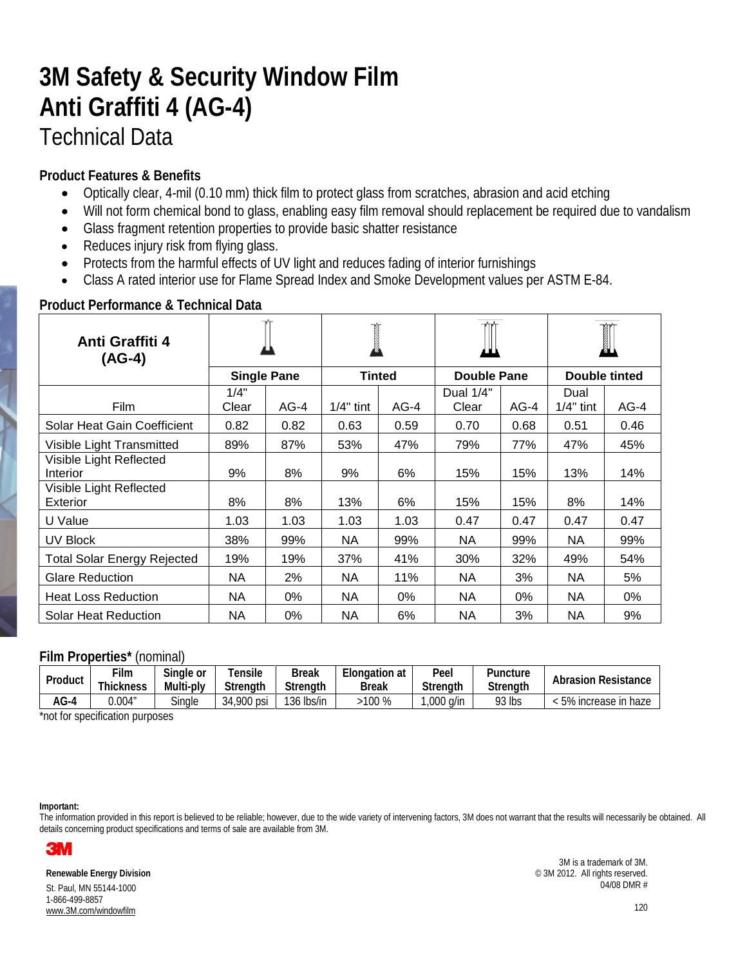# **3M Safety & Security Window Film Anti Graffiti 4 (AG-4)** Technical Data

## **Product Features & Benefits**

- Optically clear, 4-mil (0.10 mm) thick film to protect glass from scratches, abrasion and acid etching
- Will not form chemical bond to glass, enabling easy film removal should replacement be required due to vandalism
- Glass fragment retention properties to provide basic shatter resistance
- Reduces injury risk from flying glass.
- Protects from the harmful effects of UV light and reduces fading of interior furnishings
- Class A rated interior use for Flame Spread Index and Smoke Development values per ASTM E-84.

| Anti Graffiti 4<br>$(AG-4)$         |                    |        | <b>Contract of the Contract of the Contract of the Contract of T</b> |        |                    |        |                     |        |
|-------------------------------------|--------------------|--------|----------------------------------------------------------------------|--------|--------------------|--------|---------------------|--------|
|                                     | <b>Single Pane</b> |        | <b>Tinted</b>                                                        |        | <b>Double Pane</b> |        | Double tinted       |        |
| <b>Film</b>                         | 1/4"<br>Clear      | $AG-4$ | $1/4"$ tint                                                          | $AG-4$ | Dual 1/4"<br>Clear | $AG-4$ | Dual<br>$1/4"$ tint | $AG-4$ |
| Solar Heat Gain Coefficient         | 0.82               | 0.82   | 0.63                                                                 | 0.59   | 0.70               | 0.68   | 0.51                | 0.46   |
| Visible Light Transmitted           | 89%                | 87%    | 53%                                                                  | 47%    | 79%                | 77%    | 47%                 | 45%    |
| Visible Light Reflected<br>Interior | 9%                 | 8%     | 9%                                                                   | 6%     | 15%                | 15%    | 13%                 | 14%    |
| Visible Light Reflected<br>Exterior | 8%                 | 8%     | 13%                                                                  | 6%     | 15%                | 15%    | 8%                  | 14%    |
| U Value                             | 1.03               | 1.03   | 1.03                                                                 | 1.03   | 0.47               | 0.47   | 0.47                | 0.47   |
| UV Block                            | 38%                | 99%    | NA                                                                   | 99%    | NA                 | 99%    | NA.                 | 99%    |
| <b>Total Solar Energy Rejected</b>  | 19%                | 19%    | 37%                                                                  | 41%    | 30%                | 32%    | 49%                 | 54%    |
| <b>Glare Reduction</b>              | NA                 | 2%     | <b>NA</b>                                                            | 11%    | <b>NA</b>          | 3%     | NA.                 | 5%     |
| <b>Heat Loss Reduction</b>          | <b>NA</b>          | 0%     | <b>NA</b>                                                            | 0%     | NA                 | 0%     | NA                  | 0%     |
| <b>Solar Heat Reduction</b>         | <b>NA</b>          | 0%     | NA                                                                   | 6%     | NA                 | 3%     | NA                  | 9%     |

### **Product Performance & Technical Data**

### **Film Properties\*** (nominal)

| Product | ⊺ilm<br>Thickness | Single or<br>Multi-ply | Tensile<br><b>Strenath</b> | Break<br><b>Strenath</b> | Elongation at<br><b>Break</b> | Peel<br>Strenath | Puncture<br><b>Strenath</b> | <b>Abrasion Resistance</b> |
|---------|-------------------|------------------------|----------------------------|--------------------------|-------------------------------|------------------|-----------------------------|----------------------------|
| AG-4    | 0.004"            | Single                 | 900 psi<br>34              | 136 lbs/in               | 100 %                         | a/in<br>,000     | 93 lbs                      | 5% increase in haze        |

\*not for specification purposes

#### **Important:**

The information provided in this report is believed to be reliable; however, due to the wide variety of intervening factors, 3M does not warrant that the results will necessarily be obtained. All details concerning product specifications and terms of sale are available from 3M.



**Renewable Energy Division** St. Paul, MN 55144-1000 1-866-499-8857 www.3M.com/windowfilm

3M is a trademark of 3M. © 3M 2012. All rights reserved. 04/08 DMR #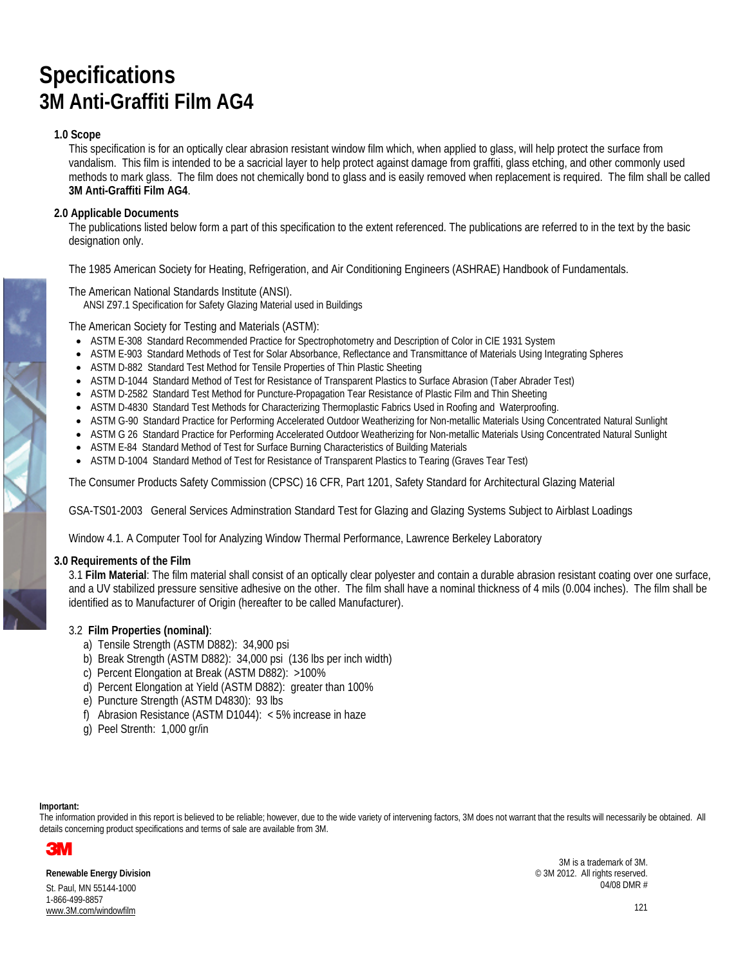## **Specifications 3M Anti-Graffiti Film AG4**

#### **1.0 Scope**

This specification is for an optically clear abrasion resistant window film which, when applied to glass, will help protect the surface from vandalism. This film is intended to be a sacricial layer to help protect against damage from graffiti, glass etching, and other commonly used methods to mark glass. The film does not chemically bond to glass and is easily removed when replacement is required. The film shall be called **3M Anti-Graffiti Film AG4**.

#### **2.0 Applicable Documents**

The publications listed below form a part of this specification to the extent referenced. The publications are referred to in the text by the basic designation only.

The 1985 American Society for Heating, Refrigeration, and Air Conditioning Engineers (ASHRAE) Handbook of Fundamentals.

The American National Standards Institute (ANSI).

ANSI Z97.1 Specification for Safety Glazing Material used in Buildings

The American Society for Testing and Materials (ASTM):

- ASTM E-308 Standard Recommended Practice for Spectrophotometry and Description of Color in CIE 1931 System
- ASTM E-903 Standard Methods of Test for Solar Absorbance, Reflectance and Transmittance of Materials Using Integrating Spheres
- ASTM D-882 Standard Test Method for Tensile Properties of Thin Plastic Sheeting
- ASTM D-1044 Standard Method of Test for Resistance of Transparent Plastics to Surface Abrasion (Taber Abrader Test)
- ASTM D-2582 Standard Test Method for Puncture-Propagation Tear Resistance of Plastic Film and Thin Sheeting
- ASTM D-4830 Standard Test Methods for Characterizing Thermoplastic Fabrics Used in Roofing and Waterproofing.
- ASTM G-90 Standard Practice for Performing Accelerated Outdoor Weatherizing for Non-metallic Materials Using Concentrated Natural Sunlight
- ASTM G 26 Standard Practice for Performing Accelerated Outdoor Weatherizing for Non-metallic Materials Using Concentrated Natural Sunlight
- ASTM E-84 Standard Method of Test for Surface Burning Characteristics of Building Materials
- ASTM D-1004 Standard Method of Test for Resistance of Transparent Plastics to Tearing (Graves Tear Test)

The Consumer Products Safety Commission (CPSC) 16 CFR, Part 1201, Safety Standard for Architectural Glazing Material

GSA-TS01-2003 General Services Adminstration Standard Test for Glazing and Glazing Systems Subject to Airblast Loadings

Window 4.1. A Computer Tool for Analyzing Window Thermal Performance, Lawrence Berkeley Laboratory

#### **3.0 Requirements of the Film**

3.1 **Film Material**: The film material shall consist of an optically clear polyester and contain a durable abrasion resistant coating over one surface, and a UV stabilized pressure sensitive adhesive on the other. The film shall have a nominal thickness of 4 mils (0.004 inches). The film shall be identified as to Manufacturer of Origin (hereafter to be called Manufacturer).

#### 3.2 **Film Properties (nominal)**:

- a) Tensile Strength (ASTM D882): 34,900 psi
- b) Break Strength (ASTM D882): 34,000 psi (136 lbs per inch width)
- c) Percent Elongation at Break (ASTM D882): >100%
- d) Percent Elongation at Yield (ASTM D882): greater than 100%
- e) Puncture Strength (ASTM D4830): 93 lbs
- f) Abrasion Resistance (ASTM D1044): < 5% increase in haze
- g) Peel Strenth: 1,000 gr/in

#### **Important:**

The information provided in this report is believed to be reliable; however, due to the wide variety of intervening factors, 3M does not warrant that the results will necessarily be obtained. All details concerning product specifications and terms of sale are available from 3M.



**Renewable Energy Division** St. Paul, MN 55144-1000 1-866-499-8857 www.3M.com/windowfilm

3M is a trademark of 3M. © 3M 2012. All rights reserved. 04/08 DMR #